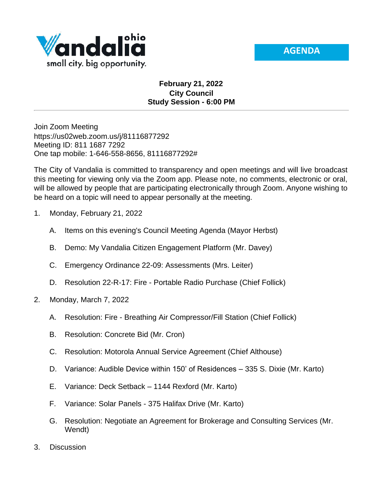



## **February 21, 2022 City Council Study Session - 6:00 PM**

Join Zoom Meeting https://us02web.zoom.us/j/81116877292 Meeting ID: 811 1687 7292 One tap mobile: 1-646-558-8656, 81116877292#

The City of Vandalia is committed to transparency and open meetings and will live broadcast this meeting for viewing only via the Zoom app. Please note, no comments, electronic or oral, will be allowed by people that are participating electronically through Zoom. Anyone wishing to be heard on a topic will need to appear personally at the meeting.

- 1. Monday, February 21, 2022
	- A. Items on this evening's Council Meeting Agenda (Mayor Herbst)
	- B. Demo: My Vandalia Citizen Engagement Platform (Mr. Davey)
	- C. Emergency Ordinance 22-09: Assessments (Mrs. Leiter)
	- D. Resolution 22-R-17: Fire Portable Radio Purchase (Chief Follick)
- 2. Monday, March 7, 2022
	- A. Resolution: Fire Breathing Air Compressor/Fill Station (Chief Follick)
	- B. Resolution: Concrete Bid (Mr. Cron)
	- C. Resolution: Motorola Annual Service Agreement (Chief Althouse)
	- D. Variance: Audible Device within 150' of Residences 335 S. Dixie (Mr. Karto)
	- E. Variance: Deck Setback 1144 Rexford (Mr. Karto)
	- F. Variance: Solar Panels 375 Halifax Drive (Mr. Karto)
	- G. Resolution: Negotiate an Agreement for Brokerage and Consulting Services (Mr. Wendt)
- 3. Discussion